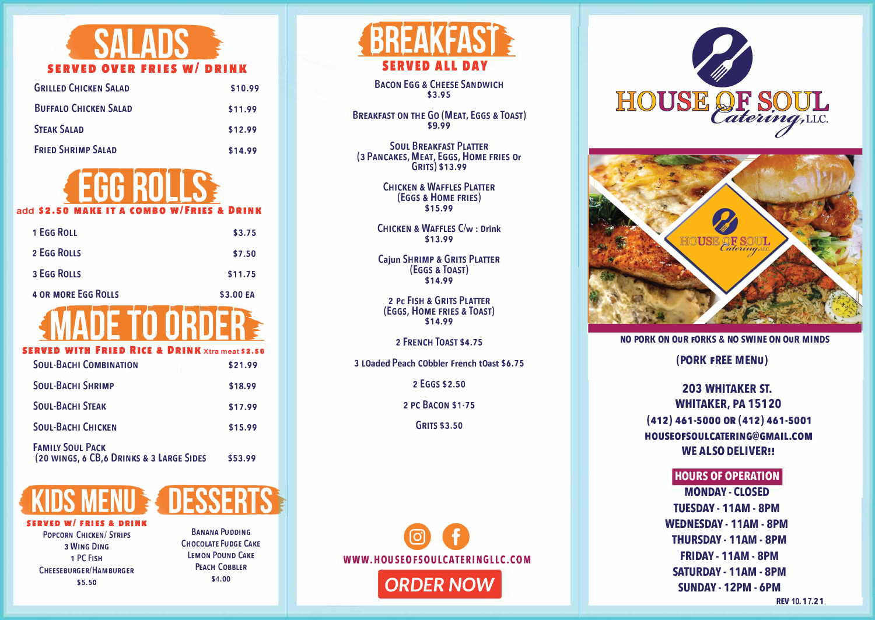

| <b>GRILLED CHICKEN SALAD</b> | \$10.99 |
|------------------------------|---------|
| <b>BUFFALO CHICKEN SALAD</b> | \$11.99 |
| <b>STEAK SALAD</b>           | \$12.99 |
| <b>FRIED SHRIMP SALAD</b>    | \$14.99 |



add \$2.50 MA

| \$3.75    |
|-----------|
| \$7.50    |
| \$11.75   |
| \$3.00 EA |
|           |



## **ITH FRIED RICE & DRINK** Xtra meat \$2.50

| <b>SOUL-BACHI COMBINATION</b>                                        | \$21.99 |
|----------------------------------------------------------------------|---------|
| <b>SOUL-BACHI SHRIMP</b>                                             | \$18.99 |
| <b>SOUL-BACHI STEAK</b>                                              | \$17.99 |
| <b>SOUL-BACHI CHICKEN</b>                                            | \$15.99 |
| <b>FAMILY SOUL PACK</b><br>(20 WINGS, 6 CB, 6 DRINKS & 3 LARGE SIDES | \$53.99 |



**FRIFS & DRINK POPCORN CHICKEN/ STRIPS** 3 WING DING 1 PC FISH CHEESERURGER/HAMBURGER \$5.50

**BANANA PUDDING CHOCOLATE FUDGE CAKE LEMON POUND CAKE PEACH COBBLER** \$4.00



**BACON EGG & CHEESE SANDWICH** \$3.95

**BREAKFAST ON THE GO (MEAT, EGGS & TOAST)** \$9.99

**SOUL BREAKFAST PLATTER** (3 PANCAKES, MEAT, EGGS, HOME FRIES Or GRITS) \$13.99

> **CHICKEN & WAFFLES PLATTER** (EGGS & HOME FRIES) \$15.99

CHICKEN & WAFFLES C/w: Drink \$13.99

**Caiun SHRIMP & GRITS PLATTER** (EGGS & TOAST) \$14.99

**2 PC FISH & GRITS PLATTER** (EGGS, HOME FRIES & TOAST) \$14.99

2 FRENCH TOAST \$4.75

3 LOaded Peach CObbler French tOast \$6.75

2 EGGS \$2.50

2 PC BACON \$1-75

**GRITS \$3.50** 







NO PORK ON OUR FORKS & NO SWINE ON OUR MINDS

(PORK FREE MENU)

## **203 WHITAKER ST. WHITAKER, PA 15120**  $(412)$  461-5000 OR (412) 461-5001 HOUSEOFSOULCATERING@GMAIL.COM **WE ALSO DELIVER!!**

## **HOURS OF OPERATION**

**MONDAY - CLOSED TUESDAY - 11AM - 8PM WEDNESDAY - 11AM - 8PM THURSDAY - 11AM - 8PM** FRIDAY - 11AM - 8PM **SATURDAY - 11AM - 8PM** SUNDAY - 12PM - 6PM

REV 10, 17, 21